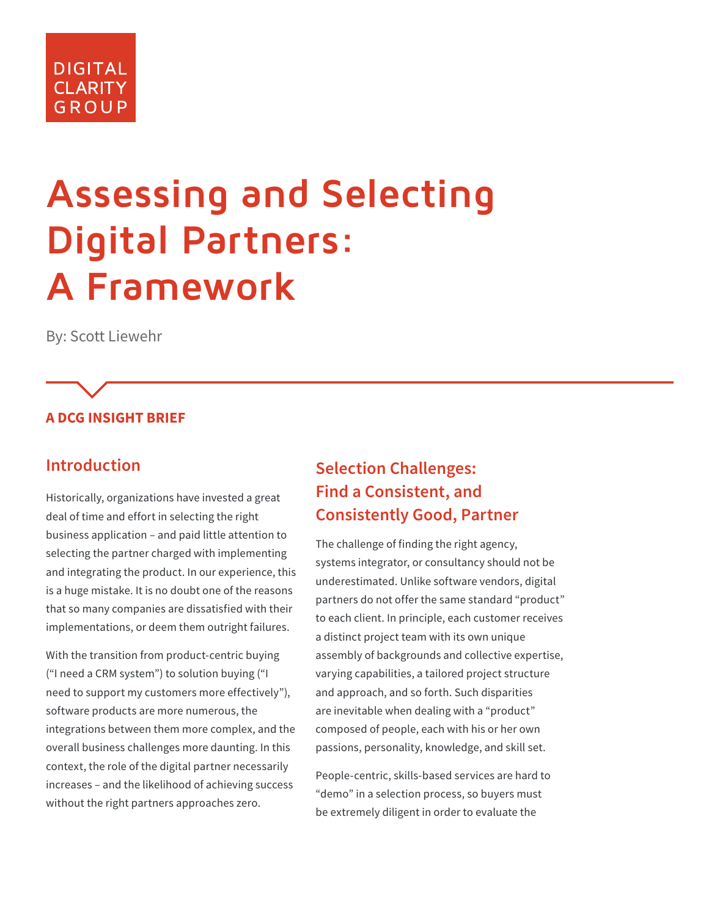# **DIGITAL CLARITY GROUP**

# **Assessing and Selecting Digital Partners: A Framework**

By: Scott Liewehr

#### **A DCG INSIGHT BRIEF**

#### **Introduction**

Historically, organizations have invested a great deal of time and effort in selecting the right business application – and paid little attention to selecting the partner charged with implementing and integrating the product. In our experience, this is a huge mistake. It is no doubt one of the reasons that so many companies are dissatisfied with their implementations, or deem them outright failures.

With the transition from product-centric buying ("I need a CRM system") to solution buying ("I need to support my customers more effectively"), software products are more numerous, the integrations between them more complex, and the overall business challenges more daunting. In this context, the role of the digital partner necessarily increases – and the likelihood of achieving success without the right partners approaches zero.

## **Selection Challenges: Find a Consistent, and Consistently Good, Partner**

The challenge of finding the right agency, systems integrator, or consultancy should not be underestimated. Unlike software vendors, digital partners do not offer the same standard "product" to each client. In principle, each customer receives a distinct project team with its own unique assembly of backgrounds and collective expertise, varying capabilities, a tailored project structure and approach, and so forth. Such disparities are inevitable when dealing with a "product" composed of people, each with his or her own passions, personality, knowledge, and skill set.

People-centric, skills-based services are hard to "demo" in a selection process, so buyers must be extremely diligent in order to evaluate the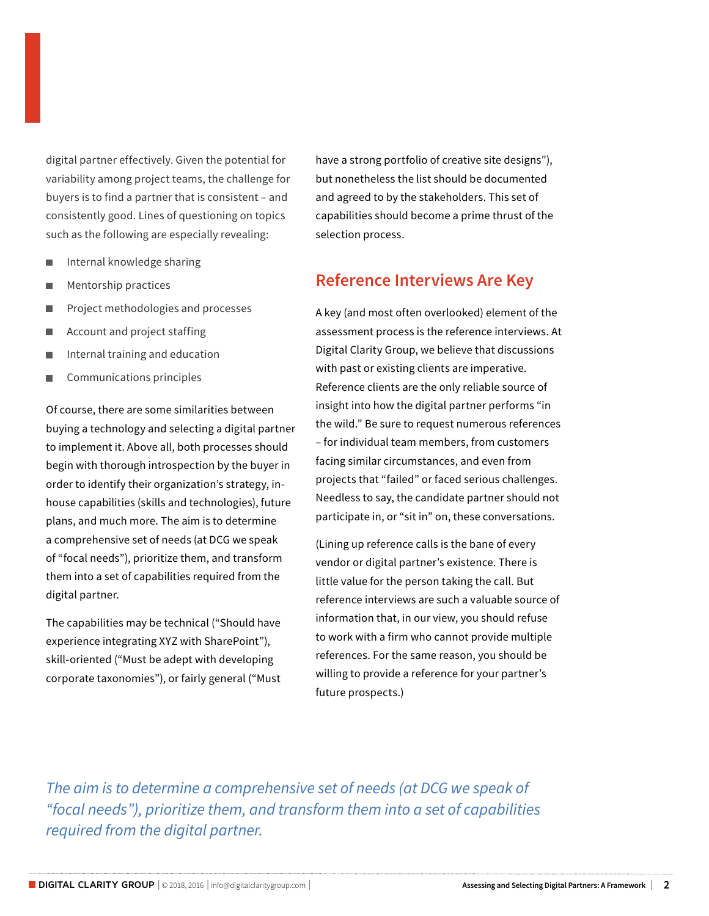digital partner effectively. Given the potential for variability among project teams, the challenge for buyers is to find a partner that is consistent – and consistently good. Lines of questioning on topics such as the following are especially revealing:

- **■** Internal knowledge sharing
- **Mentorship practices**
- **Project methodologies and processes**
- Account and project staffing
- Internal training and education
- **■** Communications principles

Of course, there are some similarities between buying a technology and selecting a digital partner to implement it. Above all, both processes should begin with thorough introspection by the buyer in order to identify their organization's strategy, inhouse capabilities (skills and technologies), future plans, and much more. The aim is to determine a comprehensive set of needs (at DCG we speak of "focal needs"), prioritize them, and transform them into a set of capabilities required from the digital partner.

The capabilities may be technical ("Should have experience integrating XYZ with SharePoint"), skill-oriented ("Must be adept with developing corporate taxonomies"), or fairly general ("Must have a strong portfolio of creative site designs"), but nonetheless the list should be documented and agreed to by the stakeholders. This set of capabilities should become a prime thrust of the selection process.

#### **Reference Interviews Are Key**

A key (and most often overlooked) element of the assessment process is the reference interviews. At Digital Clarity Group, we believe that discussions with past or existing clients are imperative. Reference clients are the only reliable source of insight into how the digital partner performs "in the wild." Be sure to request numerous references – for individual team members, from customers facing similar circumstances, and even from projects that "failed" or faced serious challenges. Needless to say, the candidate partner should not participate in, or "sit in" on, these conversations.

(Lining up reference calls is the bane of every vendor or digital partner's existence. There is little value for the person taking the call. But reference interviews are such a valuable source of information that, in our view, you should refuse to work with a firm who cannot provide multiple references. For the same reason, you should be willing to provide a reference for your partner's future prospects.)

*The aim is to determine a comprehensive set of needs (at DCG we speak of "focal needs"), prioritize them, and transform them into a set of capabilities required from the digital partner.*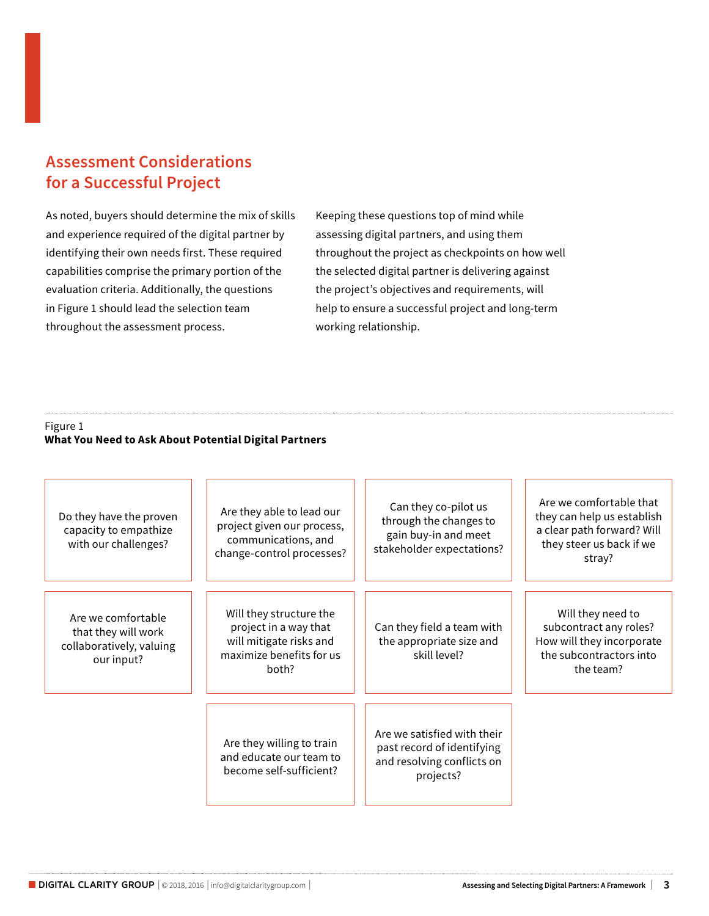### **Assessment Considerations for a Successful Project**

As noted, buyers should determine the mix of skills and experience required of the digital partner by identifying their own needs first. These required capabilities comprise the primary portion of the evaluation criteria. Additionally, the questions in Figure 1 should lead the selection team throughout the assessment process.

Keeping these questions top of mind while assessing digital partners, and using them throughout the project as checkpoints on how well the selected digital partner is delivering against the project's objectives and requirements, will help to ensure a successful project and long-term working relationship.

#### Figure 1 **What You Need to Ask About Potential Digital Partners**

| Do they have the proven<br>capacity to empathize<br>with our challenges?            | Are they able to lead our<br>project given our process,<br>communications, and<br>change-control processes?      | Can they co-pilot us<br>through the changes to<br>gain buy-in and meet<br>stakeholder expectations?  | Are we comfortable that<br>they can help us establish<br>a clear path forward? Will<br>they steer us back if we<br>stray? |
|-------------------------------------------------------------------------------------|------------------------------------------------------------------------------------------------------------------|------------------------------------------------------------------------------------------------------|---------------------------------------------------------------------------------------------------------------------------|
| Are we comfortable<br>that they will work<br>collaboratively, valuing<br>our input? | Will they structure the<br>project in a way that<br>will mitigate risks and<br>maximize benefits for us<br>hoth? | Can they field a team with<br>the appropriate size and<br>skill level?                               | Will they need to<br>subcontract any roles?<br>How will they incorporate<br>the subcontractors into<br>the team?          |
|                                                                                     | Are they willing to train<br>and educate our team to<br>become self-sufficient?                                  | Are we satisfied with their<br>past record of identifying<br>and resolving conflicts on<br>projects? |                                                                                                                           |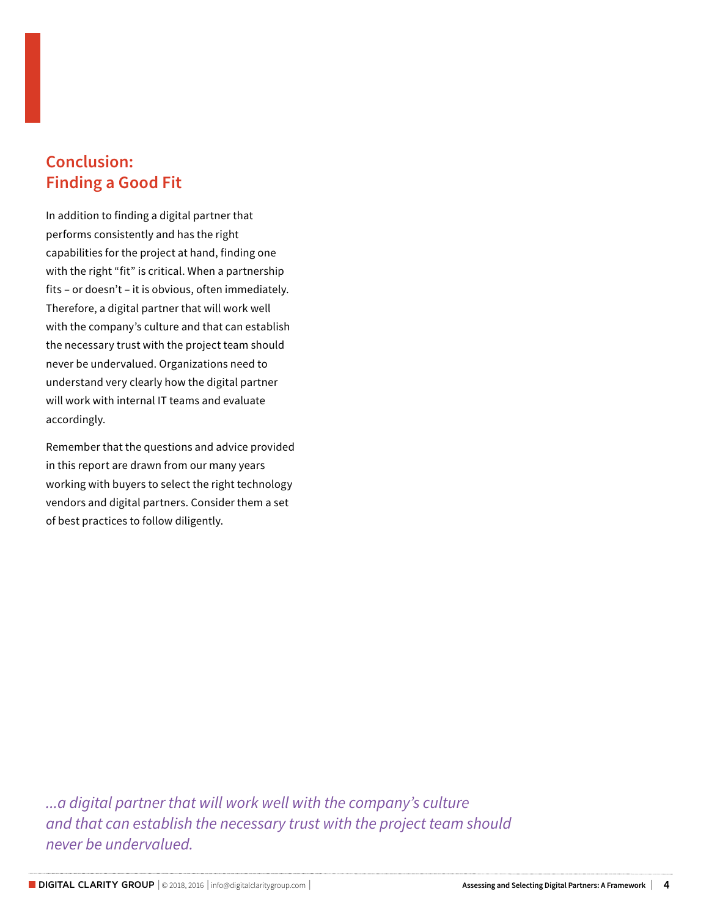#### **Conclusion: Finding a Good Fit**

In addition to finding a digital partner that performs consistently and has the right capabilities for the project at hand, finding one with the right "fit" is critical. When a partnership fits – or doesn't – it is obvious, often immediately. Therefore, a digital partner that will work well with the company's culture and that can establish the necessary trust with the project team should never be undervalued. Organizations need to understand very clearly how the digital partner will work with internal IT teams and evaluate accordingly.

Remember that the questions and advice provided in this report are drawn from our many years working with buyers to select the right technology vendors and digital partners. Consider them a set of best practices to follow diligently.

*...a digital partner that will work well with the company's culture and that can establish the necessary trust with the project team should never be undervalued.*